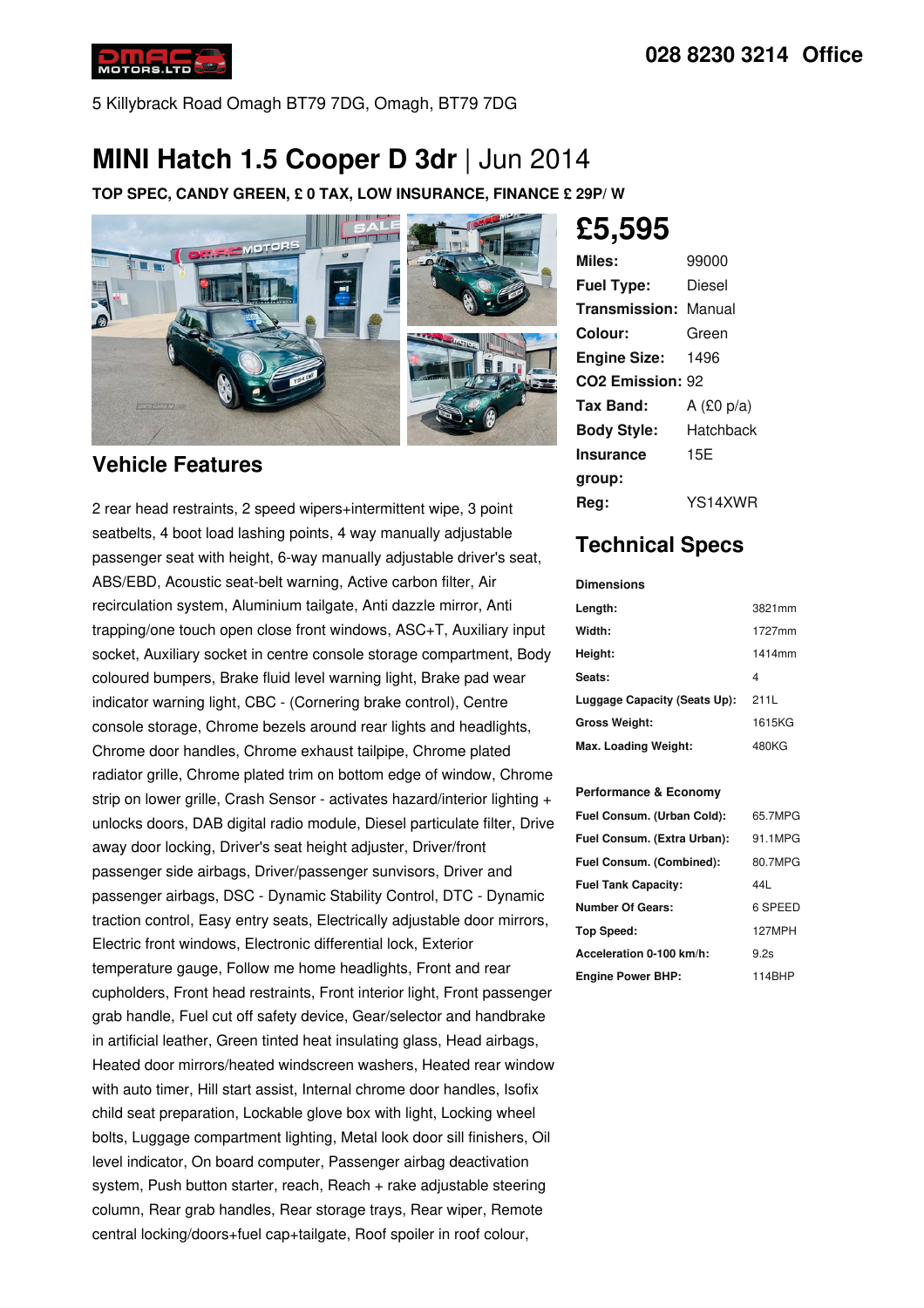

5 Killybrack Road Omagh BT79 7DG, Omagh, BT79 7DG

## **MINI Hatch 1.5 Cooper D 3dr** | Jun 2014

**TOP SPEC, CANDY GREEN, £ 0 TAX, LOW INSURANCE, FINANCE £ 29P/ W**



### **Vehicle Features**

2 rear head restraints, 2 speed wipers+intermittent wipe, 3 point seatbelts, 4 boot load lashing points, 4 way manually adjustable passenger seat with height, 6-way manually adjustable driver's seat, ABS/EBD, Acoustic seat-belt warning, Active carbon filter, Air recirculation system, Aluminium tailgate, Anti dazzle mirror, Anti trapping/one touch open close front windows, ASC+T, Auxiliary input socket, Auxiliary socket in centre console storage compartment, Body coloured bumpers, Brake fluid level warning light, Brake pad wear indicator warning light, CBC - (Cornering brake control), Centre console storage, Chrome bezels around rear lights and headlights, Chrome door handles, Chrome exhaust tailpipe, Chrome plated radiator grille, Chrome plated trim on bottom edge of window, Chrome strip on lower grille, Crash Sensor - activates hazard/interior lighting + unlocks doors, DAB digital radio module, Diesel particulate filter, Drive away door locking, Driver's seat height adjuster, Driver/front passenger side airbags, Driver/passenger sunvisors, Driver and passenger airbags, DSC - Dynamic Stability Control, DTC - Dynamic traction control, Easy entry seats, Electrically adjustable door mirrors, Electric front windows, Electronic differential lock, Exterior temperature gauge, Follow me home headlights, Front and rear cupholders, Front head restraints, Front interior light, Front passenger grab handle, Fuel cut off safety device, Gear/selector and handbrake in artificial leather, Green tinted heat insulating glass, Head airbags, Heated door mirrors/heated windscreen washers, Heated rear window with auto timer, Hill start assist, Internal chrome door handles, Isofix child seat preparation, Lockable glove box with light, Locking wheel bolts, Luggage compartment lighting, Metal look door sill finishers, Oil level indicator, On board computer, Passenger airbag deactivation system, Push button starter, reach, Reach + rake adjustable steering column, Rear grab handles, Rear storage trays, Rear wiper, Remote central locking/doors+fuel cap+tailgate, Roof spoiler in roof colour,

# **£5,595**

| Miles:                       | 99000        |  |
|------------------------------|--------------|--|
| <b>Fuel Type:</b>            | Diesel       |  |
| <b>Transmission: Manual</b>  |              |  |
| Colour:                      | Green        |  |
| <b>Engine Size:</b>          | 1496         |  |
| CO <sub>2</sub> Emission: 92 |              |  |
| Tax Band:                    | A $(£0 p/a)$ |  |
| <b>Body Style:</b>           | Hatchback    |  |
| <b>Insurance</b>             | 15E          |  |
| group:                       |              |  |
| Rea:                         | YS14XWR      |  |

### **Technical Specs**

#### **Dimensions**

| Length:                      | 3821mm |
|------------------------------|--------|
| Width:                       | 1727mm |
| Height:                      | 1414mm |
| Seats:                       | 4      |
| Luggage Capacity (Seats Up): | 211L   |
| <b>Gross Weight:</b>         | 1615KG |
| Max. Loading Weight:         | 480KG  |

#### **Performance & Economy**

| Fuel Consum. (Urban Cold):  | 65.7MPG |
|-----------------------------|---------|
| Fuel Consum. (Extra Urban): | 91.1MPG |
| Fuel Consum. (Combined):    | 80.7MPG |
| <b>Fuel Tank Capacity:</b>  | 441     |
| <b>Number Of Gears:</b>     | 6 SPEED |
| Top Speed:                  | 127MPH  |
| Acceleration 0-100 km/h:    | 9.2s    |
| <b>Engine Power BHP:</b>    | 114BHP  |